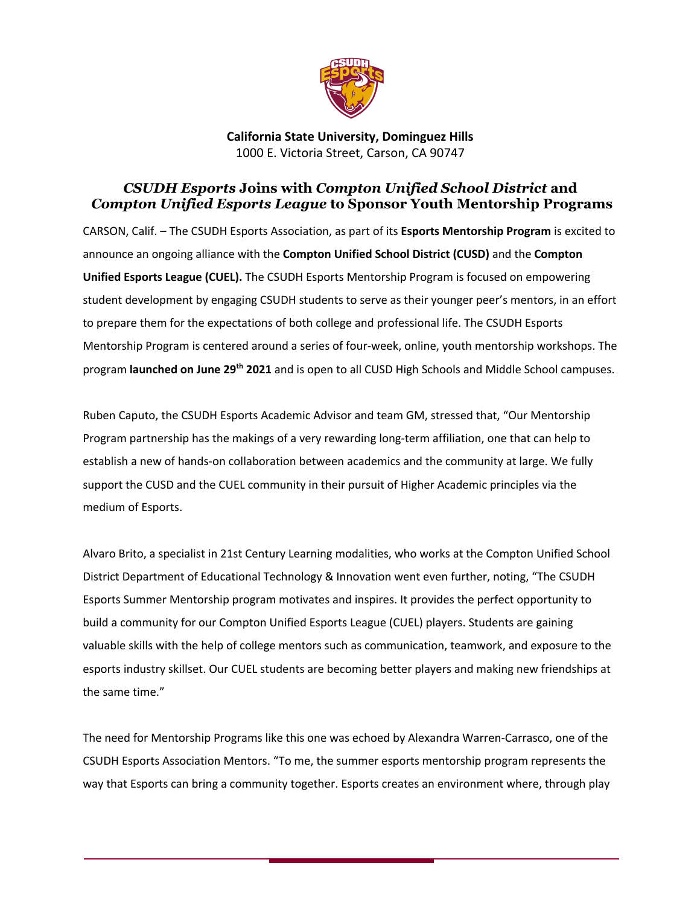

**California State University, Dominguez Hills** 1000 E. Victoria Street, Carson, CA 90747

## *CSUDH Esports* **Joins with** *Compton Unified School District* **and** *Compton Unified Esports League* **to Sponsor Youth Mentorship Programs**

CARSON, Calif. – The CSUDH Esports Association, as part of its **Esports Mentorship Program** is excited to announce an ongoing alliance with the **Compton Unified School District (CUSD)** and the **Compton Unified Esports League (CUEL).** The CSUDH Esports Mentorship Program is focused on empowering student development by engaging CSUDH students to serve as their younger peer's mentors, in an effort to prepare them for the expectations of both college and professional life. The CSUDH Esports Mentorship Program is centered around a series of four-week, online, youth mentorship workshops. The program **launched on June 29th 2021** and is open to all CUSD High Schools and Middle School campuses.

Ruben Caputo, the CSUDH Esports Academic Advisor and team GM, stressed that, "Our Mentorship Program partnership has the makings of a very rewarding long-term affiliation, one that can help to establish a new of hands-on collaboration between academics and the community at large. We fully support the CUSD and the CUEL community in their pursuit of Higher Academic principles via the medium of Esports.

Alvaro Brito, a specialist in 21st Century Learning modalities, who works at the Compton Unified School District Department of Educational Technology & Innovation went even further, noting, "The CSUDH Esports Summer Mentorship program motivates and inspires. It provides the perfect opportunity to build a community for our Compton Unified Esports League (CUEL) players. Students are gaining valuable skills with the help of college mentors such as communication, teamwork, and exposure to the esports industry skillset. Our CUEL students are becoming better players and making new friendships at the same time."

The need for Mentorship Programs like this one was echoed by Alexandra Warren-Carrasco, one of the CSUDH Esports Association Mentors. "To me, the summer esports mentorship program represents the way that Esports can bring a community together. Esports creates an environment where, through play